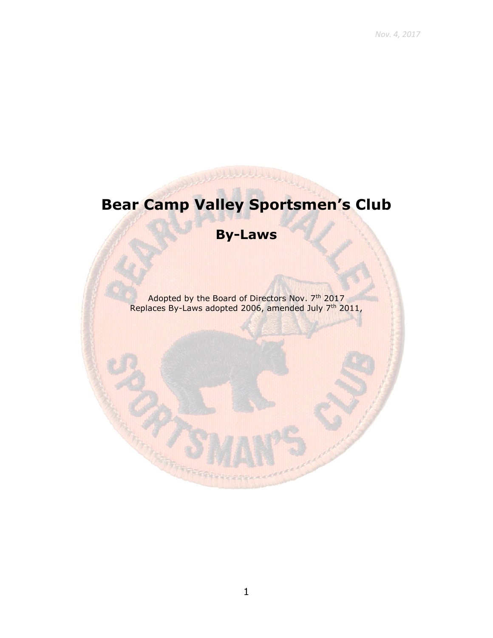# **Bear Camp Valley Sportsmen's Club**

# **By-Laws**

Adopted by the Board of Directors Nov. 7<sup>th</sup> 2017 Replaces By-Laws adopted 2006, amended July 7<sup>th</sup> 2011,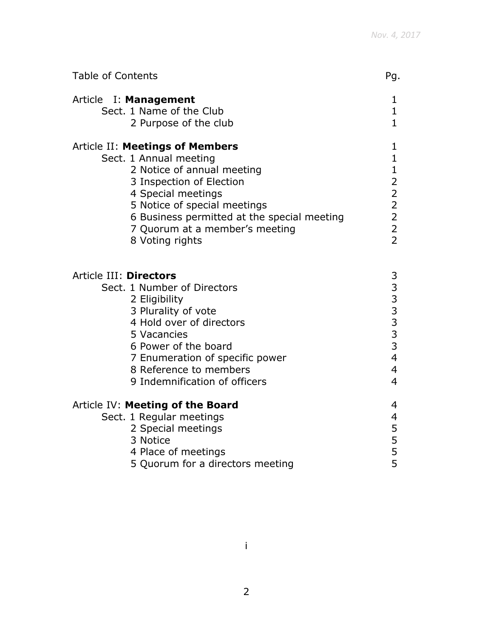| <b>Table of Contents</b>                                                                                                                                                                                                                                                             | Pg.                                                                   |
|--------------------------------------------------------------------------------------------------------------------------------------------------------------------------------------------------------------------------------------------------------------------------------------|-----------------------------------------------------------------------|
| Article I: Management<br>Sect. 1 Name of the Club<br>2 Purpose of the club                                                                                                                                                                                                           | 1<br>$\mathbf{1}$<br>$\mathbf{1}$                                     |
| <b>Article II: Meetings of Members</b><br>Sect. 1 Annual meeting<br>2 Notice of annual meeting<br>3 Inspection of Election<br>4 Special meetings<br>5 Notice of special meetings<br>6 Business permitted at the special meeting<br>7 Quorum at a member's meeting<br>8 Voting rights | 1<br>$\mathbf 1$<br>$\mathbf{1}$<br>$2222$<br>$222$<br>$\overline{2}$ |
| Article III: Directors<br>Sect. 1 Number of Directors<br>2 Eligibility<br>3 Plurality of vote<br>4 Hold over of directors<br>5 Vacancies<br>6 Power of the board<br>7 Enumeration of specific power<br>8 Reference to members<br>9 Indemnification of officers                       | 3333334<br>$\overline{4}$<br>$\overline{4}$                           |
| Article IV: Meeting of the Board<br>Sect. 1 Regular meetings<br>2 Special meetings<br>3 Notice<br>4 Place of meetings<br>5 Quorum for a directors meeting                                                                                                                            | 4<br>4<br>5<br>5<br>5<br>5                                            |

i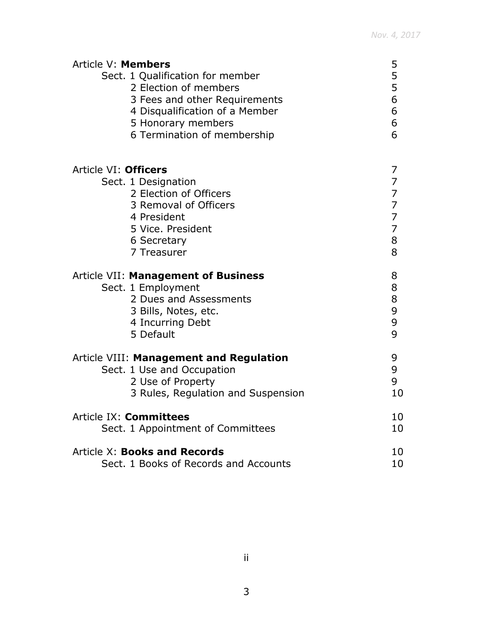| Article V: Members<br>Sect. 1 Qualification for member<br>2 Election of members<br>3 Fees and other Requirements<br>4 Disqualification of a Member<br>5 Honorary members<br>6 Termination of membership | 5<br>5<br>5<br>6<br>6<br>6<br>6 |
|---------------------------------------------------------------------------------------------------------------------------------------------------------------------------------------------------------|---------------------------------|
| Article VI: Officers                                                                                                                                                                                    | 7                               |
| Sect. 1 Designation                                                                                                                                                                                     | $\overline{7}$                  |
| 2 Election of Officers                                                                                                                                                                                  | $\overline{7}$                  |
| 3 Removal of Officers                                                                                                                                                                                   | $\overline{7}$                  |
| 4 President                                                                                                                                                                                             | $\overline{7}$                  |
| 5 Vice. President                                                                                                                                                                                       | $\overline{7}$                  |
| 6 Secretary                                                                                                                                                                                             | 8                               |
| 7 Treasurer                                                                                                                                                                                             | 8                               |
| Article VII: Management of Business                                                                                                                                                                     | 8                               |
| Sect. 1 Employment                                                                                                                                                                                      | 8                               |
| 2 Dues and Assessments                                                                                                                                                                                  | 8                               |
| 3 Bills, Notes, etc.                                                                                                                                                                                    | 9                               |
| 4 Incurring Debt                                                                                                                                                                                        | 9                               |
| 5 Default                                                                                                                                                                                               | 9                               |
| Article VIII: Management and Regulation                                                                                                                                                                 | 9                               |
| Sect. 1 Use and Occupation                                                                                                                                                                              | 9                               |
| 2 Use of Property                                                                                                                                                                                       | 9                               |
| 3 Rules, Regulation and Suspension                                                                                                                                                                      | 10                              |
| Article IX: Committees                                                                                                                                                                                  | 10                              |
| Sect. 1 Appointment of Committees                                                                                                                                                                       | 10                              |
| <b>Article X: Books and Records</b>                                                                                                                                                                     | 10                              |
| Sect. 1 Books of Records and Accounts                                                                                                                                                                   | 10                              |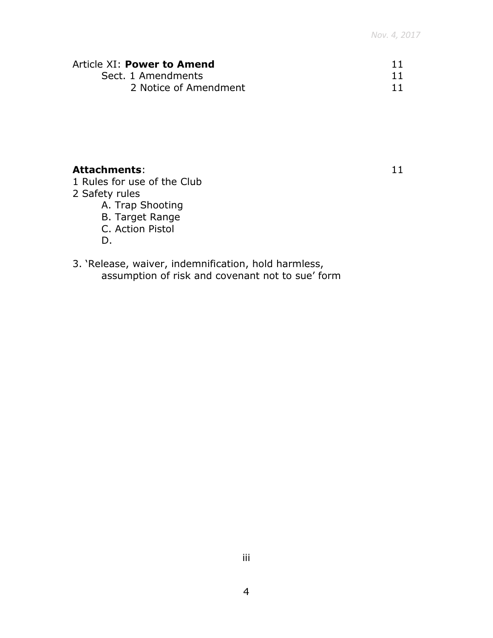| Article XI: Power to Amend |  |
|----------------------------|--|
| Sect. 1 Amendments         |  |
| 2 Notice of Amendment      |  |

# **Attachments**: 11

- 1 Rules for use of the Club
- 2 Safety rules
	- A. Trap Shooting
	- B. Target Range
	- C. Action Pistol
	- D.
- 3. 'Release, waiver, indemnification, hold harmless, assumption of risk and covenant not to sue' form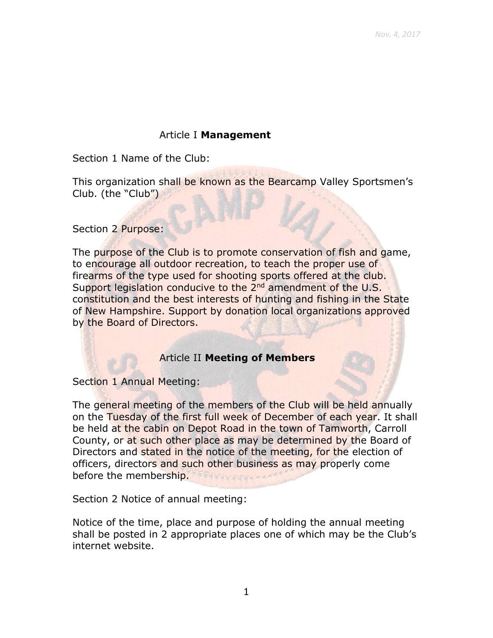# Article I **Management**

Section 1 Name of the Club:

This organization shall be known as the Bearcamp Valley Sportsmen's Club. (the "Club")

Section 2 Purpose:

The purpose of the Club is to promote conservation of fish and game, to encourage all outdoor recreation, to teach the proper use of firearms of the type used for shooting sports offered at the club. Support legislation conducive to the 2<sup>nd</sup> amendment of the U.S. constitution and the best interests of hunting and fishing in the State of New Hampshire. Support by donation local organizations approved by the Board of Directors.

#### Article II **Meeting of Members**

Section 1 Annual Meeting:

The general meeting of the members of the Club will be held annually on the Tuesday of the first full week of December of each year. It shall be held at the cabin on Depot Road in the town of Tamworth, Carroll County, or at such other place as may be determined by the Board of Directors and stated in the notice of the meeting, for the election of officers, directors and such other business as may properly come before the membership.

Section 2 Notice of annual meeting:

Notice of the time, place and purpose of holding the annual meeting shall be posted in 2 appropriate places one of which may be the Club's internet website.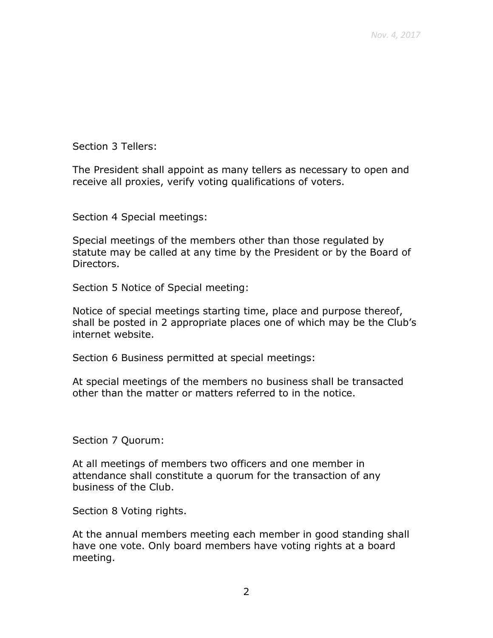Section 3 Tellers:

The President shall appoint as many tellers as necessary to open and receive all proxies, verify voting qualifications of voters.

Section 4 Special meetings:

Special meetings of the members other than those regulated by statute may be called at any time by the President or by the Board of Directors.

Section 5 Notice of Special meeting:

Notice of special meetings starting time, place and purpose thereof, shall be posted in 2 appropriate places one of which may be the Club's internet website.

Section 6 Business permitted at special meetings:

At special meetings of the members no business shall be transacted other than the matter or matters referred to in the notice.

Section 7 Quorum:

At all meetings of members two officers and one member in attendance shall constitute a quorum for the transaction of any business of the Club.

Section 8 Voting rights.

At the annual members meeting each member in good standing shall have one vote. Only board members have voting rights at a board meeting.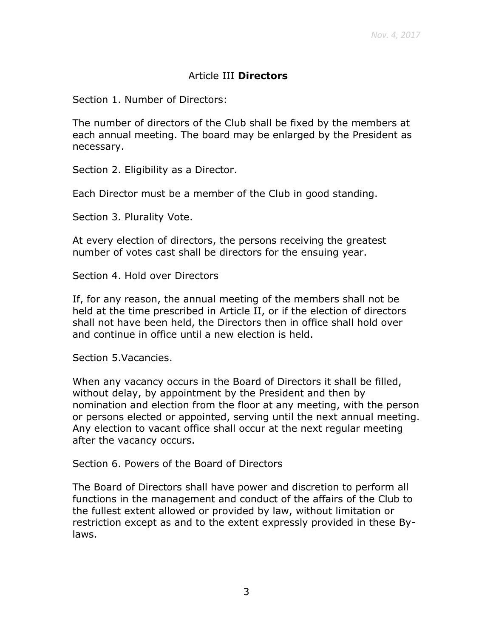# Article III **Directors**

Section 1. Number of Directors:

The number of directors of the Club shall be fixed by the members at each annual meeting. The board may be enlarged by the President as necessary.

Section 2. Eligibility as a Director.

Each Director must be a member of the Club in good standing.

Section 3. Plurality Vote.

At every election of directors, the persons receiving the greatest number of votes cast shall be directors for the ensuing year.

Section 4. Hold over Directors

If, for any reason, the annual meeting of the members shall not be held at the time prescribed in Article II, or if the election of directors shall not have been held, the Directors then in office shall hold over and continue in office until a new election is held.

Section 5.Vacancies.

When any vacancy occurs in the Board of Directors it shall be filled, without delay, by appointment by the President and then by nomination and election from the floor at any meeting, with the person or persons elected or appointed, serving until the next annual meeting. Any election to vacant office shall occur at the next regular meeting after the vacancy occurs.

Section 6. Powers of the Board of Directors

The Board of Directors shall have power and discretion to perform all functions in the management and conduct of the affairs of the Club to the fullest extent allowed or provided by law, without limitation or restriction except as and to the extent expressly provided in these Bylaws.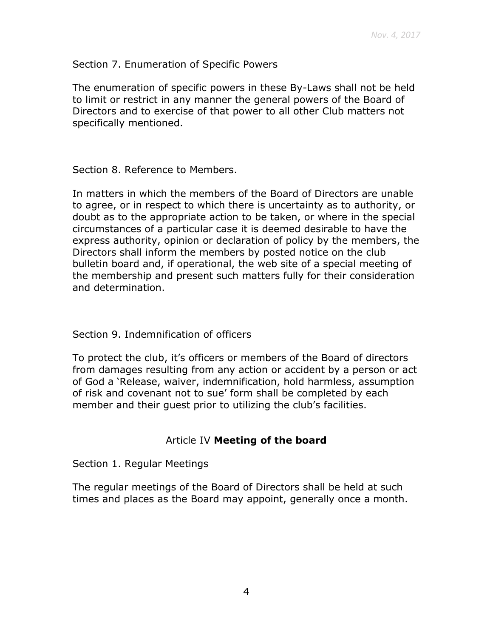Section 7. Enumeration of Specific Powers

The enumeration of specific powers in these By-Laws shall not be held to limit or restrict in any manner the general powers of the Board of Directors and to exercise of that power to all other Club matters not specifically mentioned.

Section 8. Reference to Members.

In matters in which the members of the Board of Directors are unable to agree, or in respect to which there is uncertainty as to authority, or doubt as to the appropriate action to be taken, or where in the special circumstances of a particular case it is deemed desirable to have the express authority, opinion or declaration of policy by the members, the Directors shall inform the members by posted notice on the club bulletin board and, if operational, the web site of a special meeting of the membership and present such matters fully for their consideration and determination.

#### Section 9. Indemnification of officers

To protect the club, it's officers or members of the Board of directors from damages resulting from any action or accident by a person or act of God a 'Release, waiver, indemnification, hold harmless, assumption of risk and covenant not to sue' form shall be completed by each member and their guest prior to utilizing the club's facilities.

#### Article IV **Meeting of the board**

Section 1. Regular Meetings

The regular meetings of the Board of Directors shall be held at such times and places as the Board may appoint, generally once a month.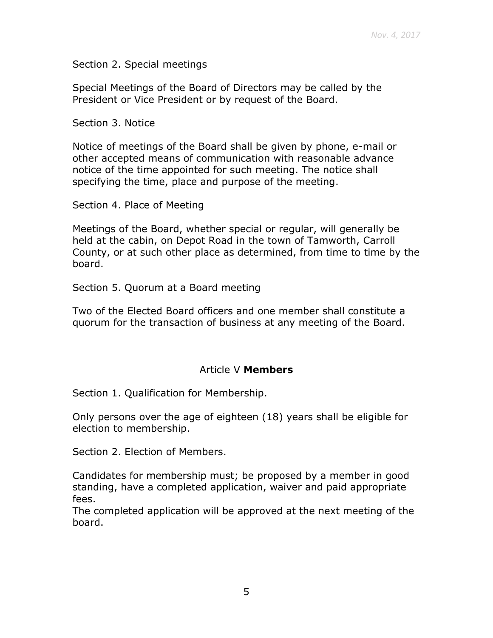Section 2. Special meetings

Special Meetings of the Board of Directors may be called by the President or Vice President or by request of the Board.

Section 3. Notice

Notice of meetings of the Board shall be given by phone, e-mail or other accepted means of communication with reasonable advance notice of the time appointed for such meeting. The notice shall specifying the time, place and purpose of the meeting.

Section 4. Place of Meeting

Meetings of the Board, whether special or regular, will generally be held at the cabin, on Depot Road in the town of Tamworth, Carroll County, or at such other place as determined, from time to time by the board.

Section 5. Quorum at a Board meeting

Two of the Elected Board officers and one member shall constitute a quorum for the transaction of business at any meeting of the Board.

#### Article V **Members**

Section 1. Qualification for Membership.

Only persons over the age of eighteen (18) years shall be eligible for election to membership.

Section 2. Election of Members.

Candidates for membership must; be proposed by a member in good standing, have a completed application, waiver and paid appropriate fees.

The completed application will be approved at the next meeting of the board.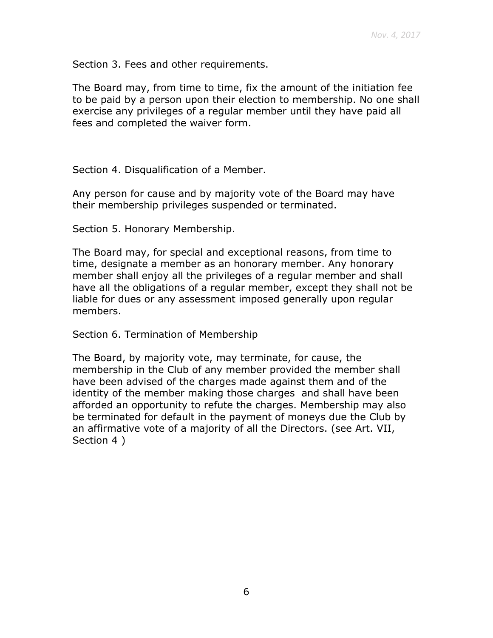Section 3. Fees and other requirements.

The Board may, from time to time, fix the amount of the initiation fee to be paid by a person upon their election to membership. No one shall exercise any privileges of a regular member until they have paid all fees and completed the waiver form.

Section 4. Disqualification of a Member.

Any person for cause and by majority vote of the Board may have their membership privileges suspended or terminated.

Section 5. Honorary Membership.

The Board may, for special and exceptional reasons, from time to time, designate a member as an honorary member. Any honorary member shall enjoy all the privileges of a regular member and shall have all the obligations of a regular member, except they shall not be liable for dues or any assessment imposed generally upon regular members.

Section 6. Termination of Membership

The Board, by majority vote, may terminate, for cause, the membership in the Club of any member provided the member shall have been advised of the charges made against them and of the identity of the member making those charges and shall have been afforded an opportunity to refute the charges. Membership may also be terminated for default in the payment of moneys due the Club by an affirmative vote of a majority of all the Directors. (see Art. VII, Section 4 )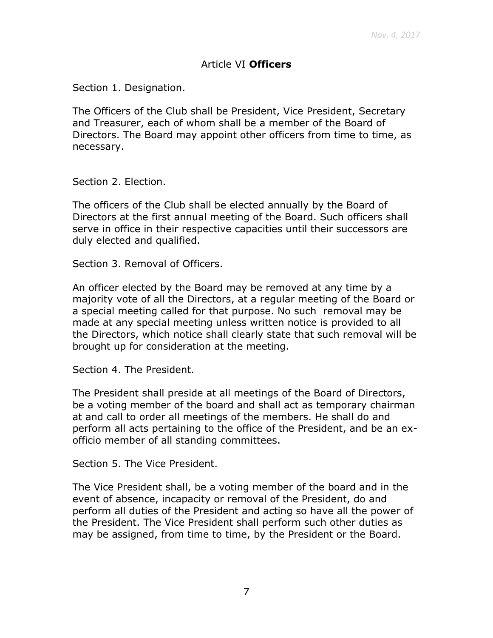## Article VI **Officers**

Section 1. Designation.

The Officers of the Club shall be President, Vice President, Secretary and Treasurer, each of whom shall be a member of the Board of Directors. The Board may appoint other officers from time to time, as necessary.

Section 2. Election.

The officers of the Club shall be elected annually by the Board of Directors at the first annual meeting of the Board. Such officers shall serve in office in their respective capacities until their successors are duly elected and qualified.

Section 3. Removal of Officers.

An officer elected by the Board may be removed at any time by a majority vote of all the Directors, at a regular meeting of the Board or a special meeting called for that purpose. No such removal may be made at any special meeting unless written notice is provided to all the Directors, which notice shall clearly state that such removal will be brought up for consideration at the meeting.

Section 4. The President.

The President shall preside at all meetings of the Board of Directors, be a voting member of the board and shall act as temporary chairman at and call to order all meetings of the members. He shall do and perform all acts pertaining to the office of the President, and be an exofficio member of all standing committees.

Section 5. The Vice President.

The Vice President shall, be a voting member of the board and in the event of absence, incapacity or removal of the President, do and perform all duties of the President and acting so have all the power of the President. The Vice President shall perform such other duties as may be assigned, from time to time, by the President or the Board.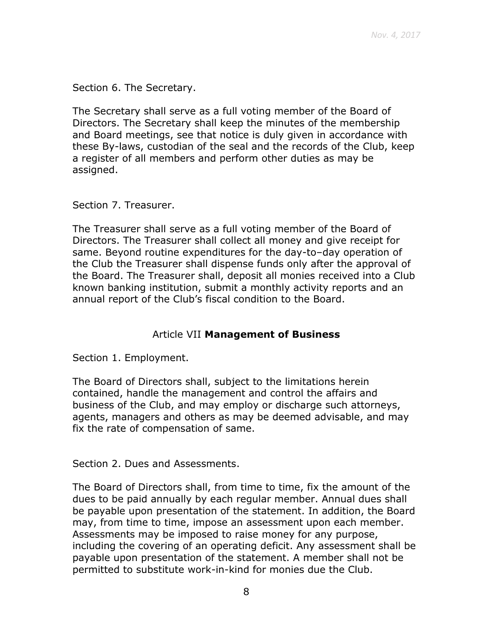Section 6. The Secretary.

The Secretary shall serve as a full voting member of the Board of Directors. The Secretary shall keep the minutes of the membership and Board meetings, see that notice is duly given in accordance with these By-laws, custodian of the seal and the records of the Club, keep a register of all members and perform other duties as may be assigned.

Section 7. Treasurer.

The Treasurer shall serve as a full voting member of the Board of Directors. The Treasurer shall collect all money and give receipt for same. Beyond routine expenditures for the day-to–day operation of the Club the Treasurer shall dispense funds only after the approval of the Board. The Treasurer shall, deposit all monies received into a Club known banking institution, submit a monthly activity reports and an annual report of the Club's fiscal condition to the Board.

#### Article VII **Management of Business**

Section 1. Employment.

The Board of Directors shall, subject to the limitations herein contained, handle the management and control the affairs and business of the Club, and may employ or discharge such attorneys, agents, managers and others as may be deemed advisable, and may fix the rate of compensation of same.

Section 2. Dues and Assessments.

The Board of Directors shall, from time to time, fix the amount of the dues to be paid annually by each regular member. Annual dues shall be payable upon presentation of the statement. In addition, the Board may, from time to time, impose an assessment upon each member. Assessments may be imposed to raise money for any purpose, including the covering of an operating deficit. Any assessment shall be payable upon presentation of the statement. A member shall not be permitted to substitute work-in-kind for monies due the Club.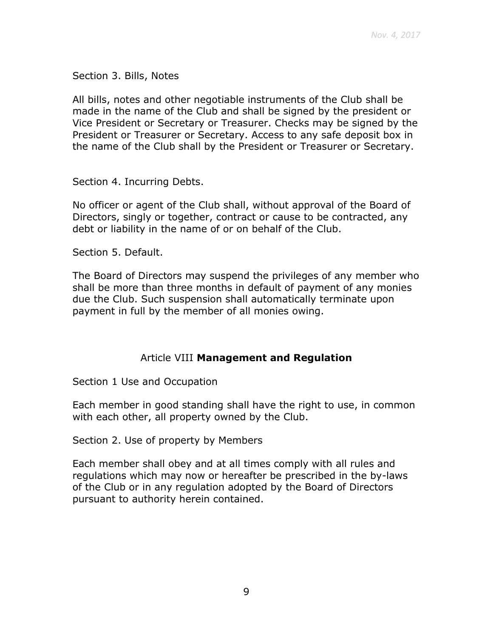Section 3. Bills, Notes

All bills, notes and other negotiable instruments of the Club shall be made in the name of the Club and shall be signed by the president or Vice President or Secretary or Treasurer. Checks may be signed by the President or Treasurer or Secretary. Access to any safe deposit box in the name of the Club shall by the President or Treasurer or Secretary.

Section 4. Incurring Debts.

No officer or agent of the Club shall, without approval of the Board of Directors, singly or together, contract or cause to be contracted, any debt or liability in the name of or on behalf of the Club.

Section 5. Default.

The Board of Directors may suspend the privileges of any member who shall be more than three months in default of payment of any monies due the Club. Such suspension shall automatically terminate upon payment in full by the member of all monies owing.

#### Article VIII **Management and Regulation**

Section 1 Use and Occupation

Each member in good standing shall have the right to use, in common with each other, all property owned by the Club.

Section 2. Use of property by Members

Each member shall obey and at all times comply with all rules and regulations which may now or hereafter be prescribed in the by-laws of the Club or in any regulation adopted by the Board of Directors pursuant to authority herein contained.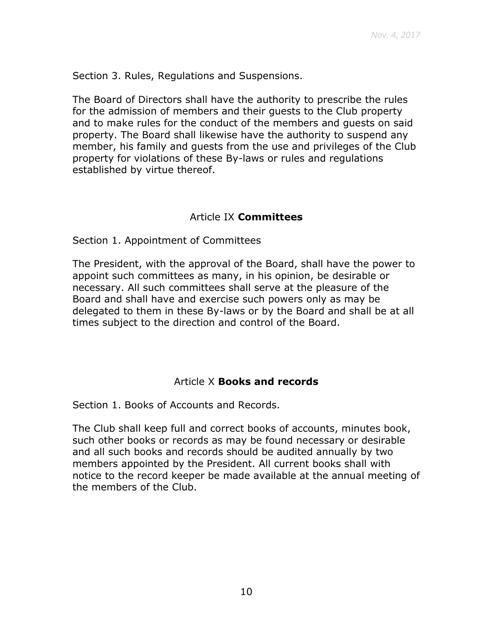Section 3. Rules, Regulations and Suspensions.

The Board of Directors shall have the authority to prescribe the rules for the admission of members and their guests to the Club property and to make rules for the conduct of the members and guests on said property. The Board shall likewise have the authority to suspend any member, his family and guests from the use and privileges of the Club property for violations of these By-laws or rules and regulations established by virtue thereof.

# Article IX **Committees**

Section 1. Appointment of Committees

The President, with the approval of the Board, shall have the power to appoint such committees as many, in his opinion, be desirable or necessary. All such committees shall serve at the pleasure of the Board and shall have and exercise such powers only as may be delegated to them in these By-laws or by the Board and shall be at all times subject to the direction and control of the Board.

#### Article X **Books and records**

Section 1. Books of Accounts and Records.

The Club shall keep full and correct books of accounts, minutes book, such other books or records as may be found necessary or desirable and all such books and records should be audited annually by two members appointed by the President. All current books shall with notice to the record keeper be made available at the annual meeting of the members of the Club.